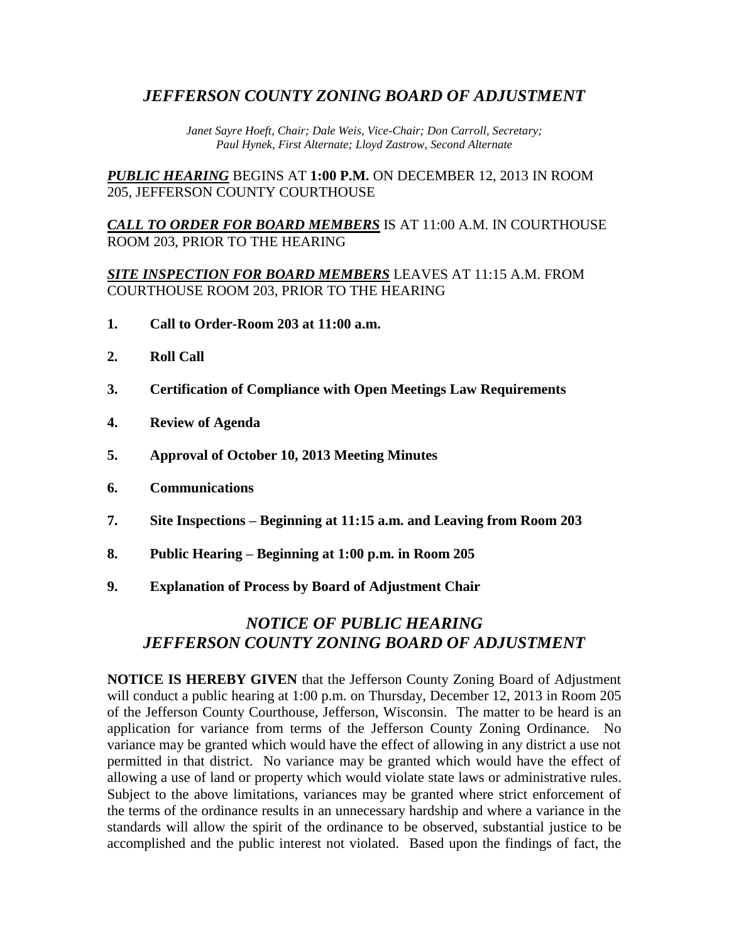## *JEFFERSON COUNTY ZONING BOARD OF ADJUSTMENT*

*Janet Sayre Hoeft, Chair; Dale Weis, Vice-Chair; Don Carroll, Secretary; Paul Hynek, First Alternate; Lloyd Zastrow, Second Alternate*

*PUBLIC HEARING* BEGINS AT **1:00 P.M.** ON DECEMBER 12, 2013 IN ROOM 205, JEFFERSON COUNTY COURTHOUSE

*CALL TO ORDER FOR BOARD MEMBERS* IS AT 11:00 A.M. IN COURTHOUSE ROOM 203, PRIOR TO THE HEARING

*SITE INSPECTION FOR BOARD MEMBERS* LEAVES AT 11:15 A.M. FROM COURTHOUSE ROOM 203, PRIOR TO THE HEARING

- **1. Call to Order-Room 203 at 11:00 a.m.**
- **2. Roll Call**
- **3. Certification of Compliance with Open Meetings Law Requirements**
- **4. Review of Agenda**
- **5. Approval of October 10, 2013 Meeting Minutes**
- **6. Communications**
- **7. Site Inspections – Beginning at 11:15 a.m. and Leaving from Room 203**
- **8. Public Hearing – Beginning at 1:00 p.m. in Room 205**
- **9. Explanation of Process by Board of Adjustment Chair**

# *NOTICE OF PUBLIC HEARING JEFFERSON COUNTY ZONING BOARD OF ADJUSTMENT*

**NOTICE IS HEREBY GIVEN** that the Jefferson County Zoning Board of Adjustment will conduct a public hearing at 1:00 p.m. on Thursday, December 12, 2013 in Room 205 of the Jefferson County Courthouse, Jefferson, Wisconsin. The matter to be heard is an application for variance from terms of the Jefferson County Zoning Ordinance. No variance may be granted which would have the effect of allowing in any district a use not permitted in that district. No variance may be granted which would have the effect of allowing a use of land or property which would violate state laws or administrative rules. Subject to the above limitations, variances may be granted where strict enforcement of the terms of the ordinance results in an unnecessary hardship and where a variance in the standards will allow the spirit of the ordinance to be observed, substantial justice to be accomplished and the public interest not violated. Based upon the findings of fact, the